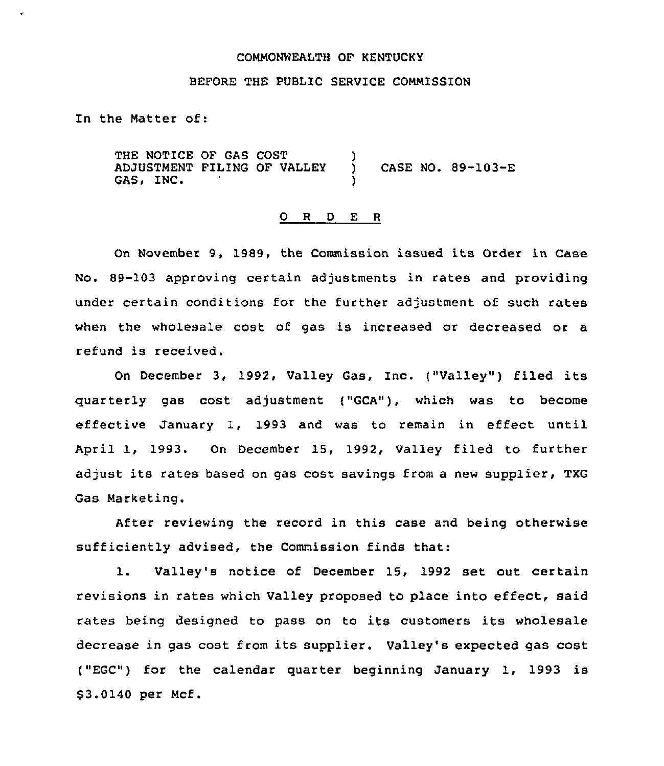#### COMMONWEALTH OF KENTUCKY

## BEFORE THE PUBLIC SERVICE COMMISSION

In the Matter of:

THE NOTICE OF GAS COST ADJUSTMENT FILING OF VALLEY GAS, INC. ) ) CASE NO. 89-103-E )

### 0 <sup>R</sup> <sup>D</sup> E <sup>R</sup>

On November 9, 1989, the Commission issued its Order in Case No. 89-103 approving certain adjustments in rates and providing under certain conditions for the further adjustment of such rates when the wholesale cost of gas is increased or decreased or a refund is received.

On December 3, 1992, Valley Gas, Inc. {"Valley") filed its quarterly gas cost adjustment {"GCA"), which was to become effective January 1, 1993 and was to remain in effect until April 1, 1993. On December 15, 1992, Valley filed to further adjust its rates based on gas cost savings from a new supplier, TXG Gas Marketing.

After reviewing the record in this case and being otherwise sufficiently advised, the Commission finds that:

1. Valley's notice of December 15, <sup>1992</sup> set out certain revisions in rates which Valley proposed to place into effect, said rates being designed to pass on to its customers its wholesale decrease in gas cost from its supplier. Valley's expected gas cost {"EGC") for the calendar quarter beginning January 1, 1993 is \$3.0140 per Mcf.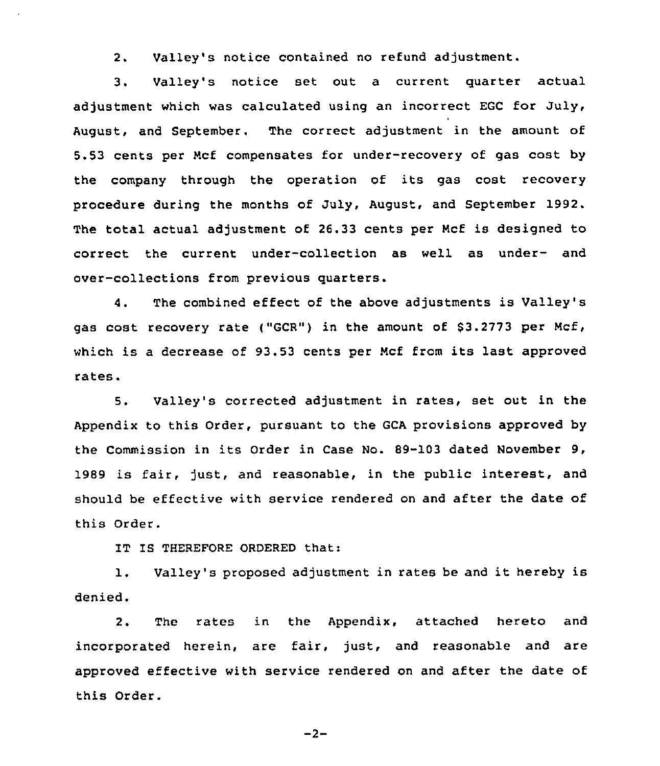2. Valley's notice contained no refund adjustment.

3. Valley's notice set out a current guarter actual adjustment which was calculated using an incorrect EGC for July, August, and September. The correct adjustment in the amount of 5.53 cents per Mcf compensates for under-recovery of gas cost by the company through the operation of its gas cost recovery procedure during the months of July, August, and September 1992. The total actual adjustment of 26.33 cents per Mcf is designed to correct the current under-collection as well as under- and over-collections from previous guarters.

4. The combined effect of the above adjustments is Valley's gas cost recovery rate ("GCR") in the amount of 83.2773 per Mcf, which is <sup>a</sup> decrease of 93.53 cents per Mcf from its last approved rates.

5. Valley's corrected adjustment in rates, set out in the Appendix to this Order, pursuant to the GCA provisions approved by the Commission in its Order in Case No. 89-103 dated November 9, 1989 is fair, just, and reasonable, in the public interest, and should be effective with service rendered on and after the date of this Order.

IT IS THEREFORE ORDERED that:

1. Valley's proposed adjustment in rates be and it hereby is denied.

2. The rates in the Appendix, attached hereto and incorporated herein, are fair, just, and reasonable and are approved effective with service rendered on and after the date of this Order.

 $-2-$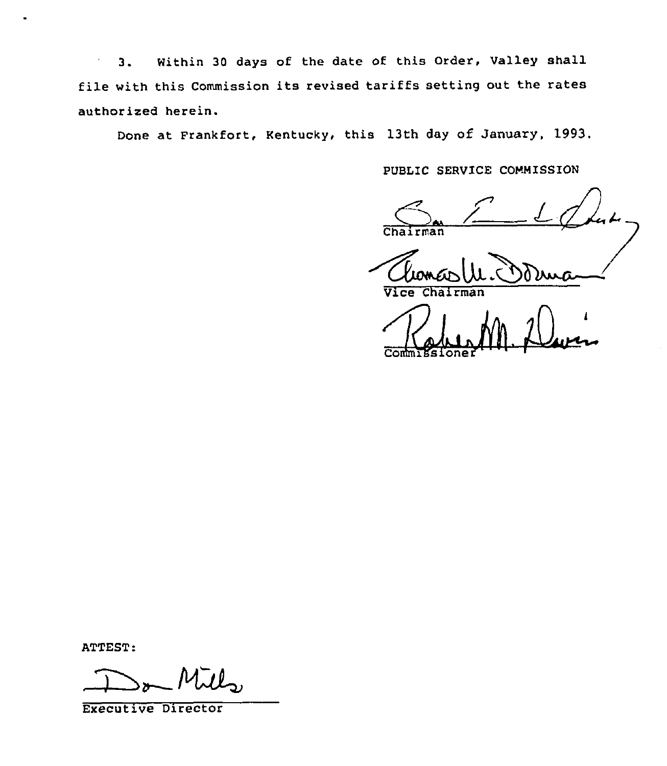Within 30 days of the date of this Order, Valley shall  $3.$  $\epsilon$ file with this Commission its revised tariffs setting out the rates authorized herein.

Done at Frankfort, Kentucky, this 13th day of January, 1993.

PUBLIC SERVICE COMMISSION

 $r$ man

 $\overline{V_1}$ re

 $r$ man

ATTEST:

Executive Director